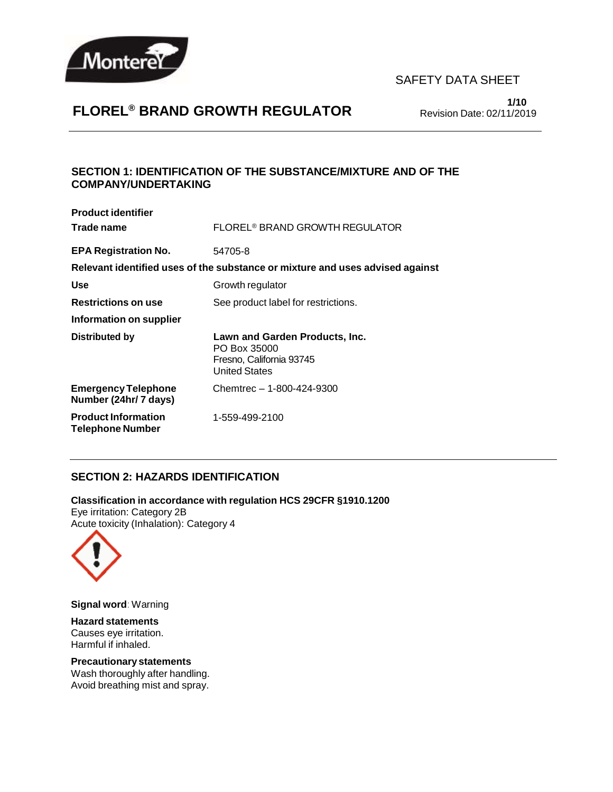

# **FLOREL® BRAND GROWTH REGULATOR**

**1/10** Revision Date: 02/11/2019

### **SECTION 1: IDENTIFICATION OF THE SUBSTANCE/MIXTURE AND OF THE COMPANY/UNDERTAKING**

| <b>Product identifier</b>                             |                                                                                                    |
|-------------------------------------------------------|----------------------------------------------------------------------------------------------------|
| Trade name                                            | FLOREL <sup>®</sup> BRAND GROWTH REGULATOR                                                         |
| <b>EPA Registration No.</b>                           | 54705-8                                                                                            |
|                                                       | Relevant identified uses of the substance or mixture and uses advised against                      |
| <b>Use</b>                                            | Growth regulator                                                                                   |
| <b>Restrictions on use</b>                            | See product label for restrictions.                                                                |
| Information on supplier                               |                                                                                                    |
| <b>Distributed by</b>                                 | Lawn and Garden Products, Inc.<br>PO Box 35000<br>Fresno, California 93745<br><b>United States</b> |
| <b>Emergency Telephone</b><br>Number (24hr/7 days)    | Chemtrec - 1-800-424-9300                                                                          |
| <b>Product Information</b><br><b>Telephone Number</b> | 1-559-499-2100                                                                                     |

#### **SECTION 2: HAZARDS IDENTIFICATION**

**Classification in accordance with regulation HCS 29CFR §1910.1200** Eye irritation: Category 2B Acute toxicity (Inhalation): Category 4



**Signal word**: Warning

**Hazard statements** Causes eye irritation. Harmful if inhaled.

#### **Precautionary statements**

Wash thoroughly after handling. Avoid breathing mist and spray.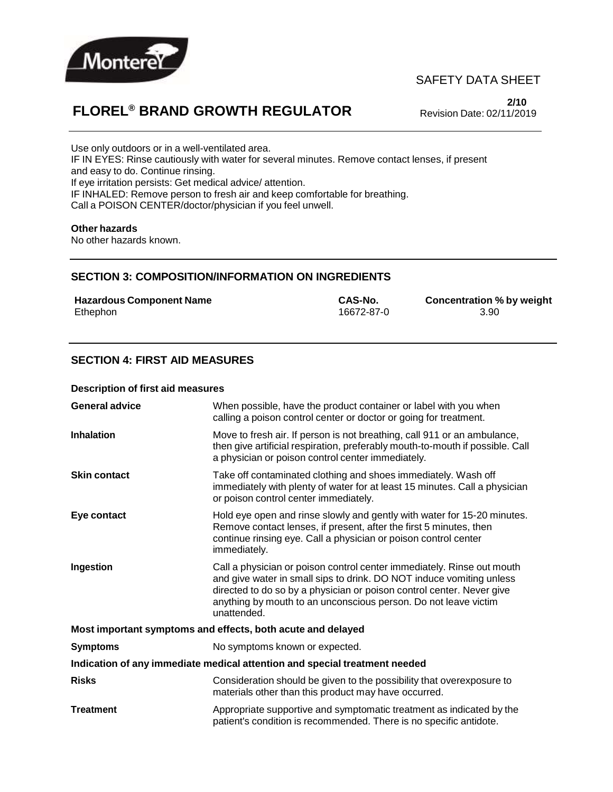

## **FLOREL® BRAND GROWTH REGULATOR**

**2/10** Revision Date: 02/11/2019

Use only outdoors or in a well-ventilated area. IF IN EYES: Rinse cautiously with water for several minutes. Remove contact lenses, if present and easy to do. Continue rinsing. If eye irritation persists: Get medical advice/ attention. IF INHALED: Remove person to fresh air and keep comfortable for breathing. Call a POISON CENTER/doctor/physician if you feel unwell.

#### **Other hazards**

No other hazards known.

#### **SECTION 3: COMPOSITION/INFORMATION ON INGREDIENTS**

| <b>Hazardous Component Name</b> | CAS-No.    | <b>Concentration %</b> |
|---------------------------------|------------|------------------------|
| Ethephon                        | 16672-87-0 | 3.90                   |

**Hazardous Component Name CAS-No. Concentration % by weight**

### **SECTION 4: FIRST AID MEASURES**

#### **Description of first aid measures**

| <b>General advice</b>                                                      | When possible, have the product container or label with you when<br>calling a poison control center or doctor or going for treatment.                                                                                                                                                                     |  |
|----------------------------------------------------------------------------|-----------------------------------------------------------------------------------------------------------------------------------------------------------------------------------------------------------------------------------------------------------------------------------------------------------|--|
| <b>Inhalation</b>                                                          | Move to fresh air. If person is not breathing, call 911 or an ambulance,<br>then give artificial respiration, preferably mouth-to-mouth if possible. Call<br>a physician or poison control center immediately.                                                                                            |  |
| <b>Skin contact</b>                                                        | Take off contaminated clothing and shoes immediately. Wash off<br>immediately with plenty of water for at least 15 minutes. Call a physician<br>or poison control center immediately.                                                                                                                     |  |
| Eye contact                                                                | Hold eye open and rinse slowly and gently with water for 15-20 minutes.<br>Remove contact lenses, if present, after the first 5 minutes, then<br>continue rinsing eye. Call a physician or poison control center<br>immediately.                                                                          |  |
| Ingestion                                                                  | Call a physician or poison control center immediately. Rinse out mouth<br>and give water in small sips to drink. DO NOT induce vomiting unless<br>directed to do so by a physician or poison control center. Never give<br>anything by mouth to an unconscious person. Do not leave victim<br>unattended. |  |
|                                                                            | Most important symptoms and effects, both acute and delayed                                                                                                                                                                                                                                               |  |
| <b>Symptoms</b>                                                            | No symptoms known or expected.                                                                                                                                                                                                                                                                            |  |
| Indication of any immediate medical attention and special treatment needed |                                                                                                                                                                                                                                                                                                           |  |
| <b>Risks</b>                                                               | Consideration should be given to the possibility that overexposure to<br>materials other than this product may have occurred.                                                                                                                                                                             |  |
| <b>Treatment</b>                                                           | Appropriate supportive and symptomatic treatment as indicated by the<br>patient's condition is recommended. There is no specific antidote.                                                                                                                                                                |  |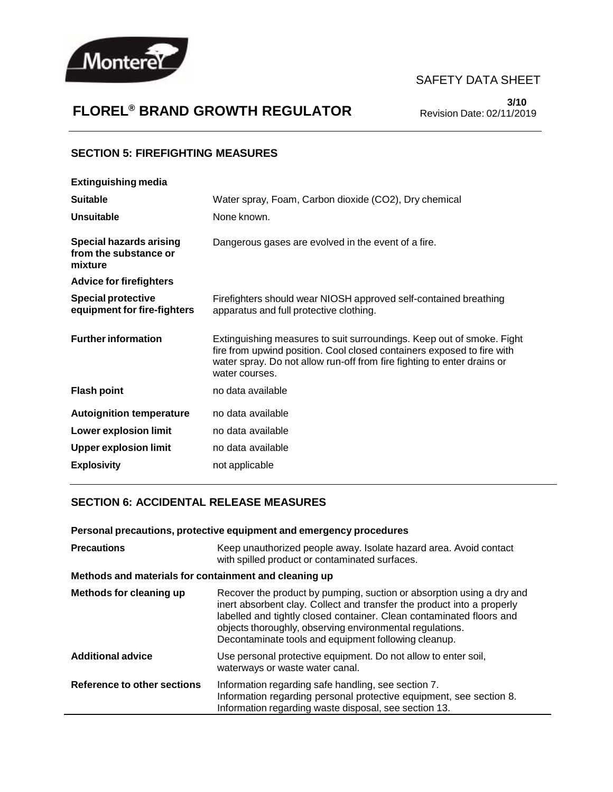

# **FLOREL® BRAND GROWTH REGULATOR**

**3/10** Revision Date: 02/11/2019

#### **SECTION 5: FIREFIGHTING MEASURES**

| <b>Extinguishing media</b>                                         |                                                                                                                                                                                                                                              |
|--------------------------------------------------------------------|----------------------------------------------------------------------------------------------------------------------------------------------------------------------------------------------------------------------------------------------|
| <b>Suitable</b>                                                    | Water spray, Foam, Carbon dioxide (CO2), Dry chemical                                                                                                                                                                                        |
| <b>Unsuitable</b>                                                  | None known.                                                                                                                                                                                                                                  |
| <b>Special hazards arising</b><br>from the substance or<br>mixture | Dangerous gases are evolved in the event of a fire.                                                                                                                                                                                          |
| <b>Advice for firefighters</b>                                     |                                                                                                                                                                                                                                              |
| <b>Special protective</b><br>equipment for fire-fighters           | Firefighters should wear NIOSH approved self-contained breathing<br>apparatus and full protective clothing.                                                                                                                                  |
| <b>Further information</b>                                         | Extinguishing measures to suit surroundings. Keep out of smoke. Fight<br>fire from upwind position. Cool closed containers exposed to fire with<br>water spray. Do not allow run-off from fire fighting to enter drains or<br>water courses. |
| <b>Flash point</b>                                                 | no data available                                                                                                                                                                                                                            |
| <b>Autoignition temperature</b>                                    | no data available                                                                                                                                                                                                                            |
| <b>Lower explosion limit</b>                                       | no data available                                                                                                                                                                                                                            |
| <b>Upper explosion limit</b>                                       | no data available                                                                                                                                                                                                                            |
| <b>Explosivity</b>                                                 | not applicable                                                                                                                                                                                                                               |
|                                                                    |                                                                                                                                                                                                                                              |

### **SECTION 6: ACCIDENTAL RELEASE MEASURES**

| Personal precautions, protective equipment and emergency procedures |                                                                                                                                                                                                                                                                                                                                             |  |
|---------------------------------------------------------------------|---------------------------------------------------------------------------------------------------------------------------------------------------------------------------------------------------------------------------------------------------------------------------------------------------------------------------------------------|--|
| <b>Precautions</b>                                                  | Keep unauthorized people away. Isolate hazard area. Avoid contact<br>with spilled product or contaminated surfaces.                                                                                                                                                                                                                         |  |
| Methods and materials for containment and cleaning up               |                                                                                                                                                                                                                                                                                                                                             |  |
| Methods for cleaning up                                             | Recover the product by pumping, suction or absorption using a dry and<br>inert absorbent clay. Collect and transfer the product into a properly<br>labelled and tightly closed container. Clean contaminated floors and<br>objects thoroughly, observing environmental regulations.<br>Decontaminate tools and equipment following cleanup. |  |
| <b>Additional advice</b>                                            | Use personal protective equipment. Do not allow to enter soil,<br>waterways or waste water canal.                                                                                                                                                                                                                                           |  |
| Reference to other sections                                         | Information regarding safe handling, see section 7.<br>Information regarding personal protective equipment, see section 8.<br>Information regarding waste disposal, see section 13.                                                                                                                                                         |  |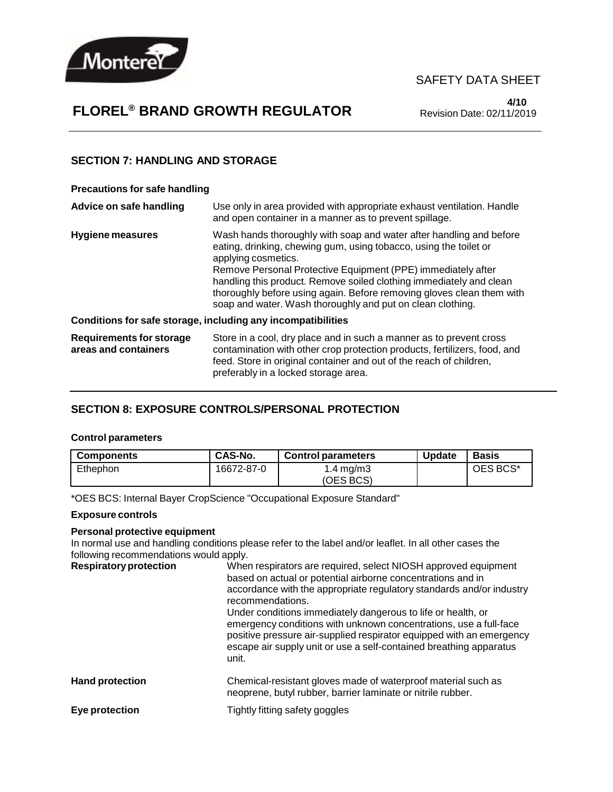

# **FLOREL® BRAND GROWTH REGULATOR**

**4/10** Revision Date: 02/11/2019

#### **SECTION 7: HANDLING AND STORAGE**

#### **Precautions for safe handling**

| Advice on safe handling                          | Use only in area provided with appropriate exhaust ventilation. Handle<br>and open container in a manner as to prevent spillage.                                                                                                                                                                                                                                                                                                              |
|--------------------------------------------------|-----------------------------------------------------------------------------------------------------------------------------------------------------------------------------------------------------------------------------------------------------------------------------------------------------------------------------------------------------------------------------------------------------------------------------------------------|
| Hygiene measures                                 | Wash hands thoroughly with soap and water after handling and before<br>eating, drinking, chewing gum, using tobacco, using the toilet or<br>applying cosmetics.<br>Remove Personal Protective Equipment (PPE) immediately after<br>handling this product. Remove soiled clothing immediately and clean<br>thoroughly before using again. Before removing gloves clean them with<br>soap and water. Wash thoroughly and put on clean clothing. |
|                                                  | Conditions for safe storage, including any incompatibilities                                                                                                                                                                                                                                                                                                                                                                                  |
| Requirements for storage<br>areas and containers | Store in a cool, dry place and in such a manner as to prevent cross<br>contamination with other crop protection products, fertilizers, food, and<br>feed. Store in original container and out of the reach of children,                                                                                                                                                                                                                       |

preferably in a locked storage area.

#### **SECTION 8: EXPOSURE CONTROLS/PERSONAL PROTECTION**

#### **Control parameters**

| <b>Components</b> | CAS-No.    | <b>Control parameters</b> | <b>Update</b> | <b>Basis</b> |
|-------------------|------------|---------------------------|---------------|--------------|
| Ethephon          | 16672-87-0 | $1.4 \,\mathrm{mq/m}$     |               | OES BCS*     |
|                   |            | (OES BCS)                 |               |              |

\*OES BCS: Internal Bayer CropScience "Occupational Exposure Standard"

#### **Exposure controls**

#### **Personal protective equipment**

In normal use and handling conditions please refer to the label and/or leaflet. In all other cases the

following recommendations would apply. **Respiratoryprotection** When respirators are required, select NIOSH approved equipment based on actual or potential airborne concentrations and in accordance with the appropriate regulatory standards and/or industry recommendations. Under conditions immediately dangerous to life or health, or emergency conditions with unknown concentrations, use a full-face positive pressure air-supplied respirator equipped with an emergency escape air supply unit or use a self-contained breathing apparatus unit. **Hand protection** Chemical-resistant gloves made of waterproof material such as neoprene, butyl rubber, barrier laminate or nitrile rubber. **Eye protection** Tightly fitting safety goggles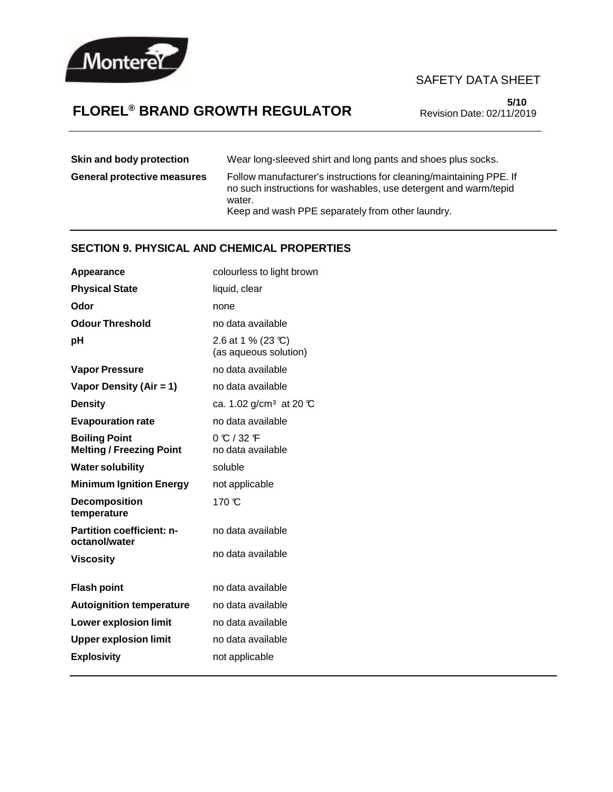

# **FLOREL® BRAND GROWTH REGULATOR**

**5/10** Revision Date: 02/11/2019

| Skin and body protection           | Wear long-sleeved shirt and long pants and shoes plus socks.                                                                                                                                          |
|------------------------------------|-------------------------------------------------------------------------------------------------------------------------------------------------------------------------------------------------------|
| <b>General protective measures</b> | Follow manufacturer's instructions for cleaning/maintaining PPE. If<br>no such instructions for washables, use detergent and warm/tepid<br>water.<br>Keep and wash PPE separately from other laundry. |

## **SECTION 9. PHYSICAL AND CHEMICAL PROPERTIES**

| colourless to light brown                    |
|----------------------------------------------|
| liquid, clear                                |
| none                                         |
| no data available                            |
| 2.6 at 1 % (23 °C)<br>(as aqueous solution)  |
| no data available                            |
| no data available                            |
| ca. 1.02 g/cm <sup>3</sup> at 20 $\mathbb C$ |
| no data available                            |
| $0 \text{ C}$ / 32 F<br>no data available    |
| soluble                                      |
| not applicable                               |
| $170 \text{ }^{\circ}$                       |
| no data available                            |
| no data available                            |
| no data available                            |
| no data available                            |
| no data available                            |
| no data available                            |
| not applicable                               |
|                                              |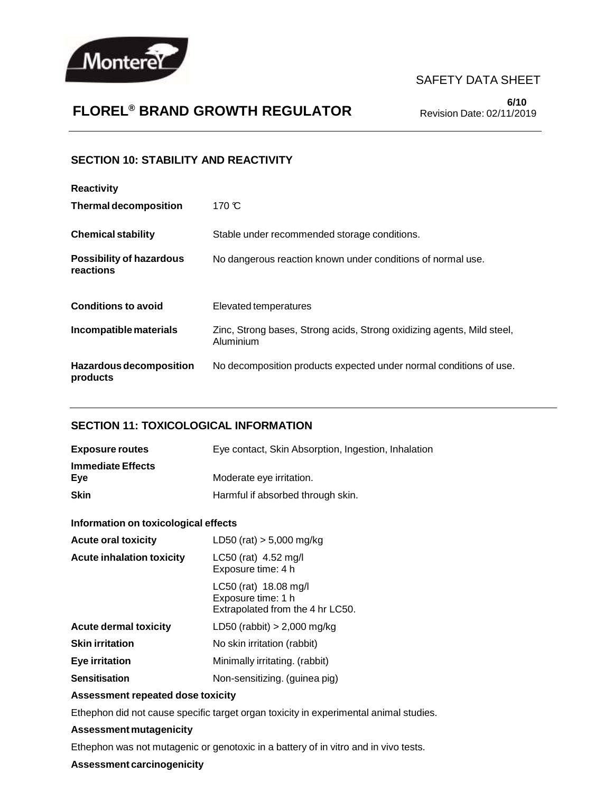

# **FLOREL® BRAND GROWTH REGULATOR**

**6/10** Revision Date: 02/11/2019

### **SECTION 10: STABILITY AND REACTIVITY**

| <b>Reactivity</b>                            |                                                                                     |
|----------------------------------------------|-------------------------------------------------------------------------------------|
| <b>Thermal decomposition</b>                 | 170 $\mathcal{C}$                                                                   |
| <b>Chemical stability</b>                    | Stable under recommended storage conditions.                                        |
| <b>Possibility of hazardous</b><br>reactions | No dangerous reaction known under conditions of normal use.                         |
| <b>Conditions to avoid</b>                   | Elevated temperatures                                                               |
| Incompatible materials                       | Zinc, Strong bases, Strong acids, Strong oxidizing agents, Mild steel,<br>Aluminium |
| Hazardous decomposition<br>products          | No decomposition products expected under normal conditions of use.                  |

## **SECTION 11: TOXICOLOGICAL INFORMATION**

| <b>Exposure routes</b>          | Eye contact, Skin Absorption, Ingestion, Inhalation |
|---------------------------------|-----------------------------------------------------|
| <b>Immediate Effects</b><br>Eve | Moderate eye irritation.                            |
| <b>Skin</b>                     | Harmful if absorbed through skin.                   |

#### **Information on toxicological effects**

| <b>Acute oral toxicity</b>       | LD50 (rat) $> 5,000$ mg/kg                                                      |
|----------------------------------|---------------------------------------------------------------------------------|
| <b>Acute inhalation toxicity</b> | LC50 (rat) 4.52 mg/l<br>Exposure time: 4 h                                      |
|                                  | LC50 (rat) 18.08 mg/l<br>Exposure time: 1 h<br>Extrapolated from the 4 hr LC50. |
| <b>Acute dermal toxicity</b>     | LD50 (rabbit) $> 2,000$ mg/kg                                                   |
| <b>Skin irritation</b>           | No skin irritation (rabbit)                                                     |
| Eye irritation                   | Minimally irritating. (rabbit)                                                  |
| Sensitisation                    | Non-sensitizing. (guinea pig)                                                   |
|                                  |                                                                                 |

#### **Assessment repeated dose toxicity**

Ethephon did not cause specific target organ toxicity in experimental animal studies.

#### **Assessment mutagenicity**

Ethephon was not mutagenic or genotoxic in a battery of in vitro and in vivo tests.

#### **Assessment carcinogenicity**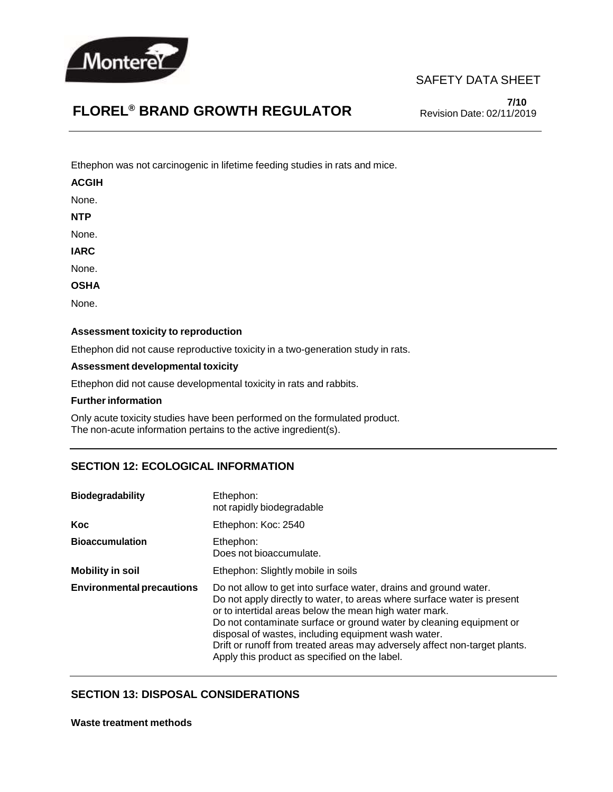

**7/10** Revision Date: 02/11/2019

# **FLOREL® BRAND GROWTH REGULATOR**

Ethephon was not carcinogenic in lifetime feeding studies in rats and mice.

#### **ACGIH**

None.

**NTP**

None.

**IARC**

None.

**OSHA**

None.

#### **Assessment toxicity to reproduction**

Ethephon did not cause reproductive toxicity in a two-generation study in rats.

#### **Assessment developmental toxicity**

Ethephon did not cause developmental toxicity in rats and rabbits.

#### **Further information**

Only acute toxicity studies have been performed on the formulated product. The non-acute information pertains to the active ingredient(s).

#### **SECTION 12: ECOLOGICAL INFORMATION**

| <b>Biodegradability</b>          | Ethephon:<br>not rapidly biodegradable                                                                                                                                                                                                                                                                                                                                                                                                                             |  |
|----------------------------------|--------------------------------------------------------------------------------------------------------------------------------------------------------------------------------------------------------------------------------------------------------------------------------------------------------------------------------------------------------------------------------------------------------------------------------------------------------------------|--|
| Koc                              | Ethephon: Koc: 2540                                                                                                                                                                                                                                                                                                                                                                                                                                                |  |
| <b>Bioaccumulation</b>           | Ethephon:<br>Does not bioaccumulate.                                                                                                                                                                                                                                                                                                                                                                                                                               |  |
| <b>Mobility in soil</b>          | Ethephon: Slightly mobile in soils                                                                                                                                                                                                                                                                                                                                                                                                                                 |  |
| <b>Environmental precautions</b> | Do not allow to get into surface water, drains and ground water.<br>Do not apply directly to water, to areas where surface water is present<br>or to intertidal areas below the mean high water mark.<br>Do not contaminate surface or ground water by cleaning equipment or<br>disposal of wastes, including equipment wash water.<br>Drift or runoff from treated areas may adversely affect non-target plants.<br>Apply this product as specified on the label. |  |

#### **SECTION 13: DISPOSAL CONSIDERATIONS**

**Waste treatment methods**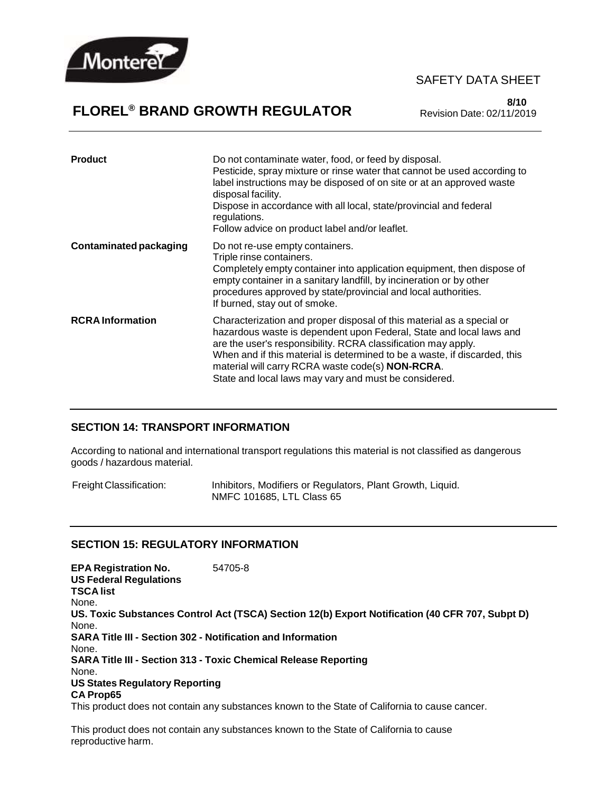

# **FLOREL® BRAND GROWTH REGULATOR**

**8/10** Revision Date: 02/11/2019

| <b>Product</b>                | Do not contaminate water, food, or feed by disposal.<br>Pesticide, spray mixture or rinse water that cannot be used according to<br>label instructions may be disposed of on site or at an approved waste<br>disposal facility.<br>Dispose in accordance with all local, state/provincial and federal<br>regulations.<br>Follow advice on product label and/or leaflet.                                         |
|-------------------------------|-----------------------------------------------------------------------------------------------------------------------------------------------------------------------------------------------------------------------------------------------------------------------------------------------------------------------------------------------------------------------------------------------------------------|
| <b>Contaminated packaging</b> | Do not re-use empty containers.<br>Triple rinse containers.<br>Completely empty container into application equipment, then dispose of<br>empty container in a sanitary landfill, by incineration or by other<br>procedures approved by state/provincial and local authorities.<br>If burned, stay out of smoke.                                                                                                 |
| <b>RCRA</b> Information       | Characterization and proper disposal of this material as a special or<br>hazardous waste is dependent upon Federal, State and local laws and<br>are the user's responsibility. RCRA classification may apply.<br>When and if this material is determined to be a waste, if discarded, this<br>material will carry RCRA waste code(s) <b>NON-RCRA</b> .<br>State and local laws may vary and must be considered. |

#### **SECTION 14: TRANSPORT INFORMATION**

According to national and international transport regulations this material is not classified as dangerous goods / hazardous material.

Freight Classification: Inhibitors, Modifiers or Regulators, Plant Growth, Liquid. NMFC 101685, LTL Class 65

#### **SECTION 15: REGULATORY INFORMATION**

**EPA Registration No.** 54705-8 **US Federal Regulations TSCA list** None. **US. Toxic Substances Control Act (TSCA) Section 12(b) Export Notification (40 CFR 707, Subpt D)** None. **SARA Title III - Section 302 - Notification and Information** None. **SARA Title III - Section 313 - Toxic Chemical Release Reporting** None. **US States Regulatory Reporting CA Prop65** This product does not contain any substances known to the State of California to cause cancer.

This product does not contain any substances known to the State of California to cause reproductive harm.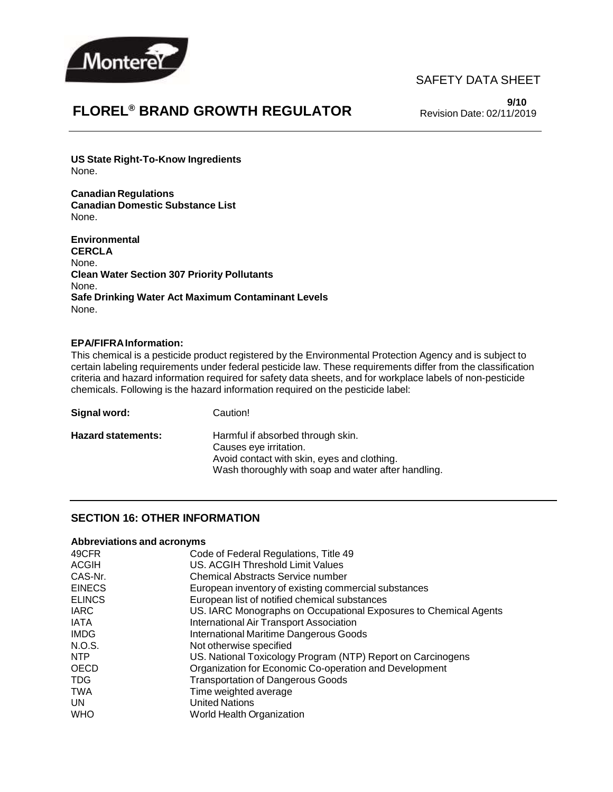

# **FLOREL® BRAND GROWTH REGULATOR**

**9/10** Revision Date: 02/11/2019

**US State Right-To-Know Ingredients** None.

**Canadian Regulations Canadian Domestic Substance List** None.

**Environmental CERCLA** None. **Clean Water Section 307 Priority Pollutants** None. **Safe Drinking Water Act Maximum Contaminant Levels** None.

#### **EPA/FIFRAInformation:**

This chemical is a pesticide product registered by the Environmental Protection Agency and is subject to certain labeling requirements under federal pesticide law. These requirements differ from the classification criteria and hazard information required for safety data sheets, and for workplace labels of non-pesticide chemicals. Following is the hazard information required on the pesticide label:

| Signal word:              | Caution!                                                                                                                                                          |
|---------------------------|-------------------------------------------------------------------------------------------------------------------------------------------------------------------|
| <b>Hazard statements:</b> | Harmful if absorbed through skin.<br>Causes eye irritation.<br>Avoid contact with skin, eyes and clothing.<br>Wash thoroughly with soap and water after handling. |

#### **SECTION 16: OTHER INFORMATION**

#### **Abbreviations and acronyms**

| 49CFR         | Code of Federal Regulations, Title 49                            |
|---------------|------------------------------------------------------------------|
| ACGIH         | US. ACGIH Threshold Limit Values                                 |
| CAS-Nr.       | <b>Chemical Abstracts Service number</b>                         |
| <b>EINECS</b> | European inventory of existing commercial substances             |
| <b>ELINCS</b> | European list of notified chemical substances                    |
| <b>IARC</b>   | US. IARC Monographs on Occupational Exposures to Chemical Agents |
| IATA          | International Air Transport Association                          |
| <b>IMDG</b>   | International Maritime Dangerous Goods                           |
| N.O.S.        | Not otherwise specified                                          |
| NTP           | US. National Toxicology Program (NTP) Report on Carcinogens      |
| OECD          | Organization for Economic Co-operation and Development           |
| TDG.          | <b>Transportation of Dangerous Goods</b>                         |
| <b>TWA</b>    | Time weighted average                                            |
| UN.           | <b>United Nations</b>                                            |
| <b>WHO</b>    | World Health Organization                                        |